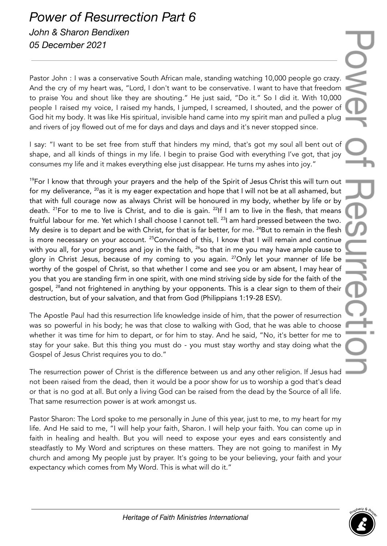## *Power of Resurrection Part 6 John & Sharon Bendixen 05 December 2021*

Pastor John : I was a conservative South African male, standing watching 10,000 people go crazy. And the cry of my heart was, "Lord, I don't want to be conservative. I want to have that freedom to praise You and shout like they are shouting." He just said, "Do it." So I did it. With 10,000 people I raised my voice, I raised my hands, I jumped, I screamed, I shouted, and the power of God hit my body. It was like His spiritual, invisible hand came into my spirit man and pulled a plug and rivers of joy flowed out of me for days and days and days and it's never stopped since.

I say: "I want to be set free from stuff that hinders my mind, that's got my soul all bent out of shape, and all kinds of things in my life. I begin to praise God with everything I've got, that joy consumes my life and it makes everything else just disappear. He turns my ashes into joy."

<sup>19</sup>For I know that through your prayers and the help of the Spirit of Jesus Christ this will turn out 1 for my deliverance,  $^{20}\!$ as it is my eager expectation and hope that I will not be at all ashamed, but that with full courage now as always Christ will be honoured in my body, whether by life or by death. <sup>21</sup>For to me to live is Christ, and to die is gain. <sup>22</sup>If I am to live in the flesh, that means fruitful labour for me. Yet which I shall choose I cannot tell. <sup>23</sup>I am hard pressed between the two. My desire is to depart and be with Christ, for that is far better, for me. <sup>24</sup>But to remain in the flesh is more necessary on your account.  $^{25}$ Convinced of this, I know that I will remain and continue with you all, for your progress and joy in the faith,  $^{26}$ so that in me you may have ample cause to glory in Christ Jesus, because of my coming to you again. <sup>27</sup>Only let your manner of life be worthy of the gospel of Christ, so that whether I come and see you or am absent, I may hear of you that you are standing firm in one spirit, with one mind striving side by side for the faith of the gospel, <sup>28</sup>and not frightened in anything by your opponents. This is a clear sign to them of their destruction, but of your salvation, and that from God (Philippians 1:19-28 ESV).

The Apostle Paul had this resurrection life knowledge inside of him, that the power of resurrection was so powerful in his body; he was that close to walking with God, that he was able to choose whether it was time for him to depart, or for him to stay. And he said, "No, it's better for me to stay for your sake. But this thing you must do - you must stay worthy and stay doing what the Gospel of Jesus Christ requires you to do."

The resurrection power of Christ is the difference between us and any other religion. If Jesus had not been raised from the dead, then it would be a poor show for us to worship a god that's dead or that is no god at all. But only a living God can be raised from the dead by the Source of all life. That same resurrection power is at work amongst us.

Pastor Sharon: The Lord spoke to me personally in June of this year, just to me, to my heart for my life. And He said to me, "I will help your faith, Sharon. I will help your faith. You can come up in faith in healing and health. But you will need to expose your eyes and ears consistently and steadfastly to My Word and scriptures on these matters. They are not going to manifest in My church and among My people just by prayer. It's going to be your believing, your faith and your expectancy which comes from My Word. This is what will do it."

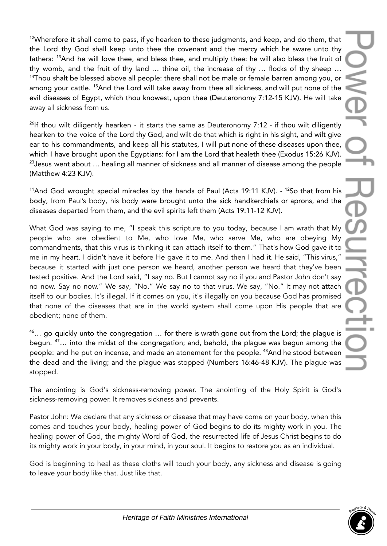$12$ Wherefore it shall come to pass, if ye hearken to these judgments, and keep, and do them, that the Lord thy God shall keep unto thee the covenant and the mercy which he sware unto thy fathers: <sup>13</sup>And he will love thee, and bless thee, and multiply thee: he will also bless the fruit of thy womb, and the fruit of thy land … thine oil, the increase of thy … flocks of thy sheep … <sup>14</sup>Thou shalt be blessed above all people: there shall not be male or female barren among you, or among your cattle. <sup>15</sup>And the Lord will take away from thee all sickness, and will put none of the evil diseases of Egypt, which thou knowest, upon thee (Deuteronomy 7:12-15 KJV). He will take away all sickness from us.

<sup>26</sup>If thou wilt diligently hearken - it starts the same as Deuteronomy 7:12 - if thou wilt diligently hearken to the voice of the Lord thy God, and wilt do that which is right in his sight, and wilt give ear to his commandments, and keep all his statutes, I will put none of these diseases upon thee, which I have brought upon the Egyptians: for I am the Lord that healeth thee (Exodus 15:26 KJV).  $23$  Jesus went about  $\ldots$  healing all manner of sickness and all manner of disease among the people (Matthew 4:23 KJV).

 $11$ And God wrought special miracles by the hands of Paul (Acts 19:11 KJV). -  $12$ So that from his body, from Paul's body, his body were brought unto the sick handkerchiefs or aprons, and the diseases departed from them, and the evil spirits left them (Acts 19:11-12 KJV).

What God was saying to me, "I speak this scripture to you today, because I am wrath that My people who are obedient to Me, who love Me, who serve Me, who are obeying My commandments, that this virus is thinking it can attach itself to them." That's how God gave it to me in my heart. I didn't have it before He gave it to me. And then I had it. He said, "This virus," because it started with just one person we heard, another person we heard that they've been tested positive. And the Lord said, "I say no. But I cannot say no if you and Pastor John don't say no now. Say no now." We say, "No." We say no to that virus. We say, "No." It may not attach itself to our bodies. It's illegal. If it comes on you, it's illegally on you because God has promised that none of the diseases that are in the world system shall come upon His people that are obedient; none of them.

<sup>46</sup>... go quickly unto the congregation ... for there is wrath gone out from the Lord; the plague is begun. <sup>47</sup>… into the midst of the congregation; and, behold, the plague was begun among the people: and he put on incense, and made an atonement for the people. <sup>48</sup>And he stood between the dead and the living; and the plague was stopped (Numbers 16:46-48 KJV). The plague was stopped.

The anointing is God's sickness-removing power. The anointing of the Holy Spirit is God's sickness-removing power. It removes sickness and prevents.

Pastor John: We declare that any sickness or disease that may have come on your body, when this comes and touches your body, healing power of God begins to do its mighty work in you. The healing power of God, the mighty Word of God, the resurrected life of Jesus Christ begins to do its mighty work in your body, in your mind, in your soul. It begins to restore you as an individual.

God is beginning to heal as these cloths will touch your body, any sickness and disease is going to leave your body like that. Just like that.